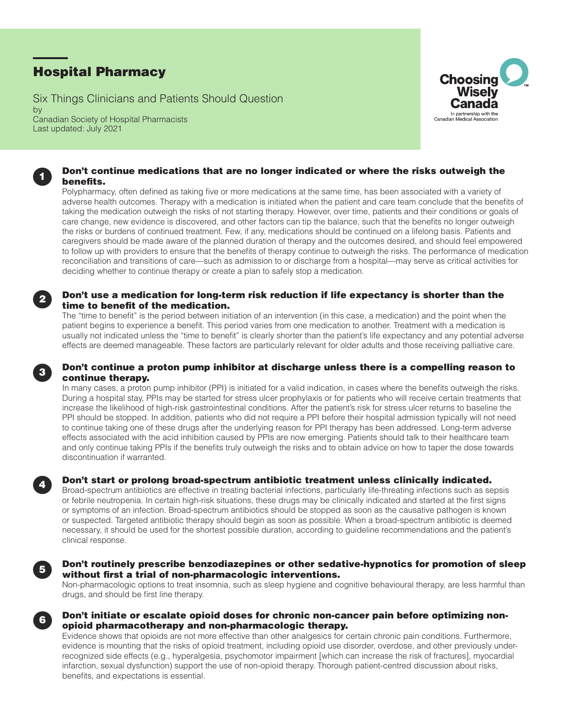# Hospital Pharmacy

Six Things Clinicians and Patients Should Question by Canadian Society of Hospital Pharmacists Last updated: July 2021



### Don't continue medications that are no longer indicated or where the risks outweigh the benefits.

Polypharmacy, often defined as taking five or more medications at the same time, has been associated with a variety of adverse health outcomes. Therapy with a medication is initiated when the patient and care team conclude that the benefits of taking the medication outweigh the risks of not starting therapy. However, over time, patients and their conditions or goals of care change, new evidence is discovered, and other factors can tip the balance, such that the benefits no longer outweigh the risks or burdens of continued treatment. Few, if any, medications should be continued on a lifelong basis. Patients and caregivers should be made aware of the planned duration of therapy and the outcomes desired, and should feel empowered to follow up with providers to ensure that the benefits of therapy continue to outweigh the risks. The performance of medication reconciliation and transitions of care—such as admission to or discharge from a hospital—may serve as critical activities for deciding whether to continue therapy or create a plan to safely stop a medication.

# Don't use a medication for long-term risk reduction if life expectancy is shorter than the time to benefit of the medication.

The "time to benefit" is the period between initiation of an intervention (in this case, a medication) and the point when the patient begins to experience a benefit. This period varies from one medication to another. Treatment with a medication is usually not indicated unless the "time to benefit" is clearly shorter than the patient's life expectancy and any potential adverse effects are deemed manageable. These factors are particularly relevant for older adults and those receiving palliative care.

## Don't continue a proton pump inhibitor at discharge unless there is a compelling reason to continue therapy.

In many cases, a proton pump inhibitor (PPI) is initiated for a valid indication, in cases where the benefits outweigh the risks. During a hospital stay, PPIs may be started for stress ulcer prophylaxis or for patients who will receive certain treatments that increase the likelihood of high-risk gastrointestinal conditions. After the patient's risk for stress ulcer returns to baseline the PPI should be stopped. In addition, patients who did not require a PPI before their hospital admission typically will not need to continue taking one of these drugs after the underlying reason for PPI therapy has been addressed. Long-term adverse effects associated with the acid inhibition caused by PPIs are now emerging. Patients should talk to their healthcare team and only continue taking PPIs if the benefits truly outweigh the risks and to obtain advice on how to taper the dose towards discontinuation if warranted.



1

2

3

### Don't start or prolong broad-spectrum antibiotic treatment unless clinically indicated.

Broad-spectrum antibiotics are effective in treating bacterial infections, particularly life-threating infections such as sepsis or febrile neutropenia. In certain high-risk situations, these drugs may be clinically indicated and started at the first signs or symptoms of an infection. Broad-spectrum antibiotics should be stopped as soon as the causative pathogen is known or suspected. Targeted antibiotic therapy should begin as soon as possible. When a broad-spectrum antibiotic is deemed necessary, it should be used for the shortest possible duration, according to guideline recommendations and the patient's clinical response.



### Don't routinely prescribe benzodiazepines or other sedative-hypnotics for promotion of sleep without first a trial of non-pharmacologic interventions.

Non-pharmacologic options to treat insomnia, such as sleep hygiene and cognitive behavioural therapy, are less harmful than drugs, and should be first line therapy.



# Don't initiate or escalate opioid doses for chronic non-cancer pain before optimizing nonopioid pharmacotherapy and non-pharmacologic therapy.

Evidence shows that opioids are not more effective than other analgesics for certain chronic pain conditions. Furthermore, evidence is mounting that the risks of opioid treatment, including opioid use disorder, overdose, and other previously underrecognized side effects (e.g., hyperalgesia, psychomotor impairment [which can increase the risk of fractures], myocardial infarction, sexual dysfunction) support the use of non-opioid therapy. Thorough patient-centred discussion about risks, benefits, and expectations is essential.